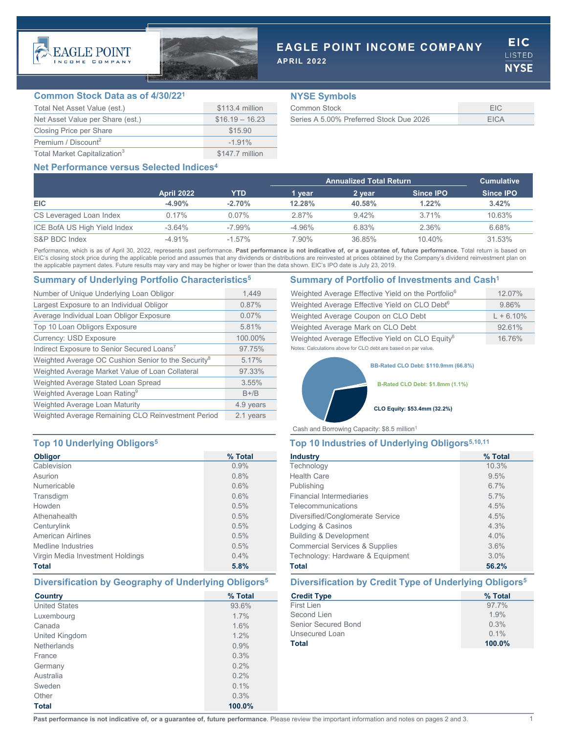



# **EAGLE POINT INCOME COMPANY**

**APRIL 2022**

**EIC LISTED NYSE** 

## **Common Stock Data as of 4/30/221**

| Total Net Asset Value (est.)             | \$113.4 million  |
|------------------------------------------|------------------|
| Net Asset Value per Share (est.)         | $$16.19 - 16.23$ |
| Closing Price per Share                  | \$15.90          |
| Premium / Discount <sup>2</sup>          | $-1.91\%$        |
| Total Market Capitalization <sup>3</sup> | \$147.7 million  |

## **NYSE Symbols**

| Common Stock                            |      |
|-----------------------------------------|------|
| Series A 5,00% Preferred Stock Due 2026 | FICA |

# **Net Performance versus Selected Indices4**

|                              |                   |           | <b>Annualized Total Return</b> |          |                  | <b>Cumulative</b> |
|------------------------------|-------------------|-----------|--------------------------------|----------|------------------|-------------------|
|                              | <b>April 2022</b> | YTD       | 1 vear                         | 2 year   | <b>Since IPO</b> | Since <b>IPO</b>  |
| <b>EIC</b>                   | $-4.90\%$         | $-2.70%$  | 12.28%                         | 40.58%   | $1.22\%$         | 3.42%             |
| CS Leveraged Loan Index      | $0.17\%$          | $0.07\%$  | 2.87%                          | $9.42\%$ | 3.71%            | 10.63%            |
| ICE BofA US High Yield Index | $-3.64\%$         | $-7.99\%$ | $-4.96%$                       | 6.83%    | 2.36%            | 6.68%             |
| S&P BDC Index                | $-4.91\%$         | $-1.57\%$ | 7 90%                          | 36.85%   | 10.40%           | 31.53%            |

Performance, which is as of April 30, 2022, represents past performance. Past performance is not indicative of, or a guarantee of, future performance. Total return is based on EIC's closing stock price during the applicable period and assumes that any dividends or distributions are reinvested at prices obtained by the Company's dividend reinvestment plan on the applicable payment dates. Future results may vary and may be higher or lower than the data shown. EIC's IPO date is July 23, 2019.

# **Summary of Underlying Portfolio Characteristics5 Summary of Portfolio of Investments and Cash1**

| Number of Unique Underlying Loan Obligor                        | 1.449     |
|-----------------------------------------------------------------|-----------|
| Largest Exposure to an Individual Obligor                       | 0.87%     |
| Average Individual Loan Obligor Exposure                        | 0.07%     |
| Top 10 Loan Obligors Exposure                                   | 5.81%     |
| <b>Currency: USD Exposure</b>                                   | 100.00%   |
| Indirect Exposure to Senior Secured Loans <sup>7</sup>          | 97.75%    |
| Weighted Average OC Cushion Senior to the Security <sup>8</sup> | 5.17%     |
| Weighted Average Market Value of Loan Collateral                | 97.33%    |
| Weighted Average Stated Loan Spread                             | 3.55%     |
| Weighted Average Loan Rating <sup>9</sup>                       | $B + /B$  |
| Weighted Average Loan Maturity                                  | 4.9 years |
| Weighted Average Remaining CLO Reinvestment Period              | 2.1 vears |

# **Top 10 Underlying Obligors5 Top 10 Industries of Underlying Obligors5,10,11**

| <b>Obligor</b>                   | % Total |
|----------------------------------|---------|
| Cablevision                      | 0.9%    |
| Asurion                          | 0.8%    |
| Numericable                      | 0.6%    |
| Transdigm                        | 0.6%    |
| Howden                           | 0.5%    |
| Athenahealth                     | 0.5%    |
| Centurylink                      | 0.5%    |
| <b>American Airlines</b>         | 0.5%    |
| Medline Industries               | 0.5%    |
| Virgin Media Investment Holdings | 0.4%    |
| <b>Total</b>                     | 5.8%    |

| <b>Country</b>       | % Total |
|----------------------|---------|
| <b>United States</b> | 93.6%   |
| Luxembourg           | 1.7%    |
| Canada               | 1.6%    |
| United Kingdom       | 1.2%    |
| <b>Netherlands</b>   | 0.9%    |
| France               | 0.3%    |
| Germany              | $0.2\%$ |
| Australia            | 0.2%    |
| Sweden               | 0.1%    |
| Other                | 0.3%    |
| <b>Total</b>         | 100.0%  |

| Weighted Average Effective Yield on the Portfolio <sup>6</sup> | 12.07%      |
|----------------------------------------------------------------|-------------|
| Weighted Average Effective Yield on CLO Debt <sup>6</sup>      | 9.86%       |
| Weighted Average Coupon on CLO Debt                            | $L + 6.10%$ |
| Weighted Average Mark on CLO Debt                              | 92.61%      |
| Weighted Average Effective Yield on CLO Equity <sup>6</sup>    | 16.76%      |
| Notes: Calculations above for CLO debt are based on par value. |             |

**BB-Rated CLO Debt: \$110.9mm (66.8%)**

**B-Rated CLO Debt: \$1.8mm (1.1%)**

### **CLO Equity: \$53.4mm (32.2%)**

Cash and Borrowing Capacity: \$8.5 million1

| <b>Industry</b>                           | % Total |
|-------------------------------------------|---------|
| Technology                                | 10.3%   |
| <b>Health Care</b>                        | 9.5%    |
| Publishing                                | 6.7%    |
| <b>Financial Intermediaries</b>           | 5.7%    |
| Telecommunications                        | 4.5%    |
| Diversified/Conglomerate Service          | 4.5%    |
| Lodging & Casinos                         | 4.3%    |
| <b>Building &amp; Development</b>         | 4.0%    |
| <b>Commercial Services &amp; Supplies</b> | 3.6%    |
| Technology: Hardware & Equipment          | 3.0%    |
| Total                                     | 56.2%   |

# **Diversification by Geography of Underlying Obligors5 Diversification by Credit Type of Underlying Obligors5**

| <b>Credit Type</b>  | % Total |
|---------------------|---------|
| First Lien          | 97.7%   |
| Second Lien         | 1.9%    |
| Senior Secured Bond | 0.3%    |
| Unsecured Loan      | $0.1\%$ |
| Total               | 100.0%  |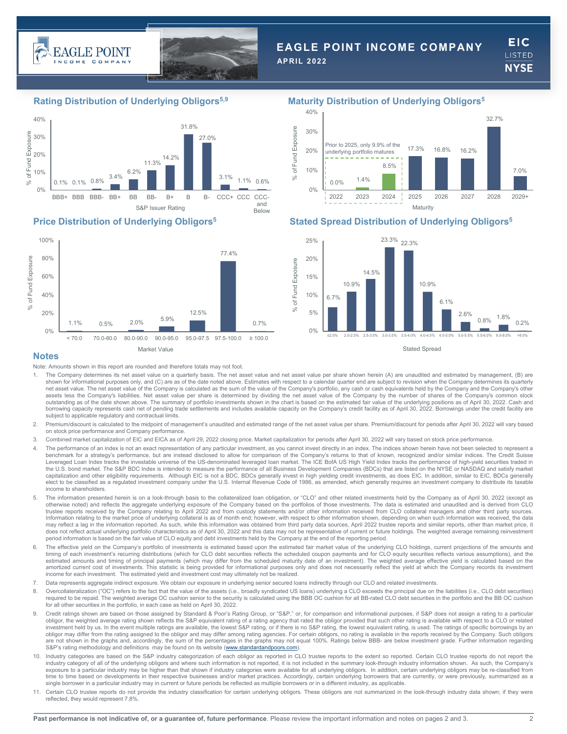



# **EAGLE POINT INCOME COMPANY**

**APRIL 2022**

**EIC ISTED NYSE** 





## **Rating Distribution of Underlying Obligors5,9 Maturity Distribution of Underlying Obligors5**



## **Price Distribution of Underlying Obligors5 Stated Spread Distribution of Underlying Obligors5**



### **Notes**

Note: Amounts shown in this report are rounded and therefore totals may not foot.

- 1. The Company determines its net asset value on a quarterly basis. The net asset value and net asset value per share shown herein (A) are unaudited and estimated by management, (B) are shown for informational purposes only, and (C) are as of the date noted above. Estimates with respect to a calendar quarter end are subject to revision when the Company determines its quarterly net asset value. The net asset value of the Company is calculated as the sum of the value of the Company's portfolio, any cash or cash equivalents held by the Company and the Company's other assets less the Company's liabilities. Net asset value per share is determined by dividing the net asset value of the Company by the number of shares of the Company's common stock outstanding as of the date shown above. The summary of portfolio investments shown in the chart is based on the estimated fair value of the underlying positions as of April 30, 2022. Cash and<br>borrowing capacity represents subject to applicable regulatory and contractual limits
- 2. Premium/discount is calculated to the midpoint of management's unaudited and estimated range of the net asset value per share. Premium/discount for periods after April 30, 2022 will vary based on stock price performance and Company performance.
- 3. Combined market capitalization of EIC and EICA as of April 29, 2022 closing price. Market capitalization for periods after April 30, 2022 will vary based on stock price performance.
- 4. The performance of an index is not an exact representation of any particular investment, as you cannot invest directly in an index. The indices shown herein have not been selected to represent a benchmark for a strategy's performance, but are instead disclosed to allow for comparison of the Company's returns to that of known, recognized and/or similar indices. The Credit Suisse Leveraged Loan Index tracks the investable universe of the US-denominated leveraged loan market. The ICE BofA US High Yield Index tracks the performance of high-yield securities traded in the U.S. bond market. The S&P BDC Index is intended to measure the performance of all Business Development Companies (BDCs) that are listed on the NYSE or NASDAQ and satisfy market capitalization and other eligibility requirements. Although EIC is not a BDC, BDCs generally invest in high yielding credit investments, as does EIC. In addition, similar to EIC, BDCs generally elect to be classified as a regulated investment company under the U.S. Internal Revenue Code of 1986, as amended, which generally requires an investment company to distribute its taxable income to shareholders.
- 5. The information presented herein is on a look-through basis to the collateralized loan obligation, or "CLO" and other related investments held by the Company as of April 30, 2022 (except as otherwise noted) and reflects the aggregate underlying exposure of the Company based on the portfolios of those investments. The data is estimated and unaudited and is derived from CLO trustee reports received by the Company relating to April 2022 and from custody statements and/or other information received from CLO collateral managers and other third party sources. Information relating to the market price of underlying collateral is as of month end; however, with respect to other information shown, depending on when such information was received, the data may reflect a lag in the information reported. As such, while this information was obtained from third party data sources, April 2022 trustee reports and similar reports, other than market price, it does not reflect actual underlying portfolio characteristics as of April 30, 2022 and this data may not be representative of current or future holdings. The weighted average remaining reinvestment period information is based on the fair value of CLO equity and debt investments held by the Company at the end of the reporting period.
- 6. The effective yield on the Company's portfolio of investments is estimated based upon the estimated fair market value of the underlying CLO holdings, current projections of the amounts and timing of each investment's recurring distributions (which for CLO debt securities reflects the scheduled coupon payments and for CLO equity securities reflects various assumptions), and the estimated amounts and timing of principal payments (which may differ from the scheduled maturity date of an investment). The weighted average effective yield is calculated based on the amortized current cost of investments. This statistic is being provided for informational purposes only and does not necessarily reflect the yield at which the Company records its investment income for each investment. The estimated yield and investment cost may ultimately not be realized.
- 7. Data represents aggregate indirect exposure. We obtain our exposure in underlying senior secured loans indirectly through our CLO and related investments.
- 8. Overcollateralization ("OC") refers to the fact that the value of the assets (i.e., broadly syndicated US loans) underlying a CLO exceeds the principal due on the liabilities (i.e., CLO debt securities) required to be repaid. The weighted average OC cushion senior to the security is calculated using the BBB OC cushion for all BB-rated CLO debt securities in the portfolio and the BB OC cushion<br>for all other securities in t
- Credit ratings shown are based on those assigned by Standard & Poor's Rating Group, or "S&P," or, for comparison and informational purposes, if S&P does not assign a rating to a particular obligor, the weighted average rating shown reflects the S&P equivalent rating of a rating agency that rated the obligor provided that such other rating is available with respect to a CLO or related be with respect to a CLO are not shown in the graphs and, accordingly, the sum of the percentages in the graphs may not equal 100%. Ratings below BBB- are below investment grade. Further information regarding S&P's rating methodology and definitions may be found on its website ([www.standardandpoors.com](http://www.standardandpoors.com/)).
- 10. Industry categories are based on the S&P industry categorization of each obligor as reported in CLO trustee reports to the extent so reported. Certain CLO trustee reports do not report the industry category of all of the underlying obligors and where such information is not reported, it is not included in the summary look-through industry information shown. As such, the Company's exposure to a particular industry may be higher than that shown if industry categories were available for all underlying obligors. In addition, certain underlying obligors may be re‐classified from time to time based on developments in their respective businesses and/or market practices. Accordingly, certain underlying borrowers that are currently, or were previously, summarized as a single borrower in a particular industry may in current or future periods be reflected as multiple borrowers or in a different industry, as applicable.
- Certain CLO trustee reports do not provide the industry classification for certain underlying obligors. These obligors are not summarized in the look-through industry data shown; if they were reflected, they would represent 7.8%